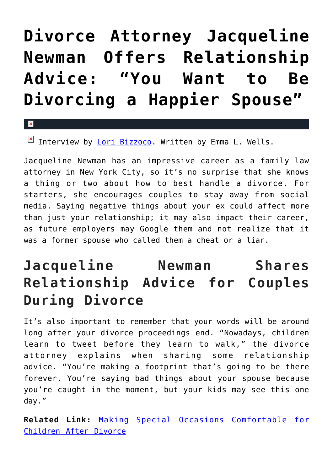## **[Divorce Attorney Jacqueline](https://cupidspulse.com/86783/divorce-attorney-jacqueline-newman-relationship-advice/) [Newman Offers Relationship](https://cupidspulse.com/86783/divorce-attorney-jacqueline-newman-relationship-advice/) [Advice: "You Want to Be](https://cupidspulse.com/86783/divorce-attorney-jacqueline-newman-relationship-advice/) [Divorcing a Happier Spouse"](https://cupidspulse.com/86783/divorce-attorney-jacqueline-newman-relationship-advice/)**

 $\mathbf{x}$ 

Interview by [Lori Bizzoco](http://cupidspulse.com/104596/lori-bizzoco/). Written by Emma L. Wells.

Jacqueline Newman has an impressive career as a family law attorney in New York City, so it's no surprise that she knows a thing or two about how to best handle a divorce. For starters, she encourages couples to stay away from social media. Saying negative things about your ex could affect more than just your relationship; it may also impact their career, as future employers may Google them and not realize that it was a former spouse who called them a cheat or a liar.

## **Jacqueline Newman Shares Relationship Advice for Couples During Divorce**

It's also important to remember that your words will be around long after your divorce proceedings end. "Nowadays, children learn to tweet before they learn to walk," the divorce attorney explains when sharing some relationship advice. "You're making a footprint that's going to be there forever. You're saying bad things about your spouse because you're caught in the moment, but your kids may see this one day."

**Related Link:** [Making Special Occasions Comfortable for](http://cupidspulse.com/83493/hope-after-divorce-michele-sfakianos-making-special-occasions-comfortable-for-children/) [Children After Divorce](http://cupidspulse.com/83493/hope-after-divorce-michele-sfakianos-making-special-occasions-comfortable-for-children/)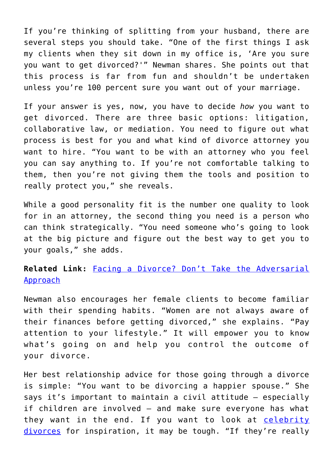If you're thinking of splitting from your husband, there are several steps you should take. "One of the first things I ask my clients when they sit down in my office is, 'Are you sure you want to get divorced?'" Newman shares. She points out that this process is far from fun and shouldn't be undertaken unless you're 100 percent sure you want out of your marriage.

If your answer is yes, now, you have to decide *how* you want to get divorced. There are three basic options: litigation, collaborative law, or mediation. You need to figure out what process is best for you and what kind of divorce attorney you want to hire. "You want to be with an attorney who you feel you can say anything to. If you're not comfortable talking to them, then you're not giving them the tools and position to really protect you," she reveals.

While a good personality fit is the number one quality to look for in an attorney, the second thing you need is a person who can think strategically. "You need someone who's going to look at the big picture and figure out the best way to get you to your goals," she adds.

**Related Link:** [Facing a Divorce? Don't Take the Adversarial](http://cupidspulse.com/60604/facing-a-divorce-lisa-labelle-hope-after-divorce/) [Approach](http://cupidspulse.com/60604/facing-a-divorce-lisa-labelle-hope-after-divorce/)

Newman also encourages her female clients to become familiar with their spending habits. "Women are not always aware of their finances before getting divorced," she explains. "Pay attention to your lifestyle." It will empower you to know what's going on and help you control the outcome of your divorce.

Her best relationship advice for those going through a divorce is simple: "You want to be divorcing a happier spouse." She says it's important to maintain a civil attitude — especially if children are involved — and make sure everyone has what they want in the end. If you want to look at [celebrity](http://cupidspulse.com/celebrity-relationships/break-up-divorce/) [divorces](http://cupidspulse.com/celebrity-relationships/break-up-divorce/) for inspiration, it may be tough. "If they're really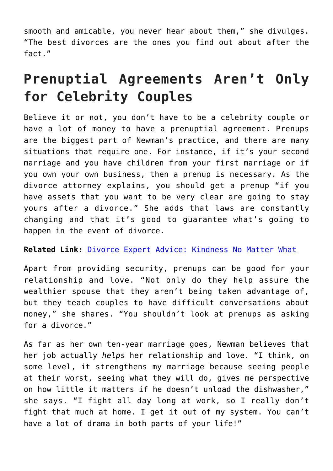smooth and amicable, you never hear about them," she divulges. "The best divorces are the ones you find out about after the fact."

## **Prenuptial Agreements Aren't Only for Celebrity Couples**

Believe it or not, you don't have to be a celebrity couple or have a lot of money to have a prenuptial agreement. Prenups are the biggest part of Newman's practice, and there are many situations that require one. For instance, if it's your second marriage and you have children from your first marriage or if you own your own business, then a prenup is necessary. As the divorce attorney explains, you should get a prenup "if you have assets that you want to be very clear are going to stay yours after a divorce." She adds that laws are constantly changing and that it's good to guarantee what's going to happen in the event of divorce.

## **Related Link:** [Divorce Expert Advice: Kindness No Matter What](http://cupidspulse.com/85072/relationship-advice-janeen-diamond-kindness-no-matter-what/)

Apart from providing security, prenups can be good for your relationship and love. "Not only do they help assure the wealthier spouse that they aren't being taken advantage of, but they teach couples to have difficult conversations about money," she shares. "You shouldn't look at prenups as asking for a divorce."

As far as her own ten-year marriage goes, Newman believes that her job actually *helps* her relationship and love. "I think, on some level, it strengthens my marriage because seeing people at their worst, seeing what they will do, gives me perspective on how little it matters if he doesn't unload the dishwasher," she says. "I fight all day long at work, so I really don't fight that much at home. I get it out of my system. You can't have a lot of drama in both parts of your life!"